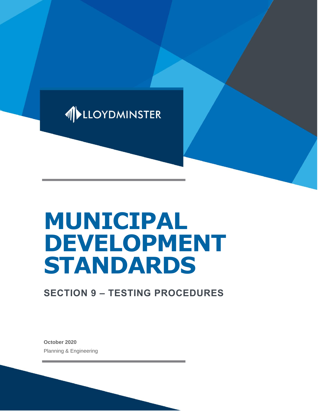

# **MUNICIPAL DEVELOPMENT STANDARDS**

# **SECTION 9 – TESTING PROCEDURES**

**October 2020** Planning & Engineering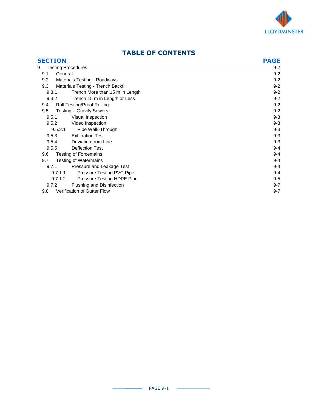

#### **SECTION PAGE** 9 Testing Procedures 8-2 Personal state of the state of the state of the state of the state of the state of the state of the state of the state of the state of the state of the state of the state of the state of the state 9.1 General 9-2 9.2 Materials Testing - Roadways 9-2 9.3 Materials Testing - Trench Backfill 9-2 9.3.1 Trench More than 15 m in Length 9-2 9.3.2 Trench 15 m in Length or Less 9-2 9.4 Roll Testing/Proof Rolling 9-2 9.5 Testing – Gravity Sewers 9-2 9.5.1 Visual Inspection 9-3 9.5.2 Video Inspection 9-3 9.5.2.1 Pipe Walk-Through 9-3 9.5.3 Exfiltration Test 9-3 9.5.4 Deviation from Line 9-3 9.5.5 Deflection Test 9-4 9.6 Testing of Forcemains 9-4 9.7 Testing of Watermains 9-4 9.7.1 Pressure and Leakage Test **9-4** 9.7.1.1 Pressure Testing PVC Pipe **9-4** and the state of the state of the state of the state of the state of the state of the state of the state of the state of the state of the state of the state of the state of the state 9.7.1.2 Pressure Testing HDPE Pipe 9-5 9.7.2 Flushing and Disinfection 9-7 9.8 Verification of Gutter Flow 9-7

# **TABLE OF CONTENTS**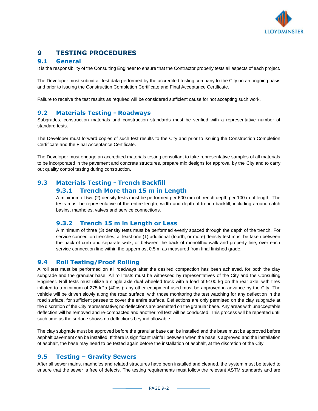

# **9 TESTING PROCEDURES**

#### **9.1 General**

It is the responsibility of the Consulting Engineer to ensure that the Contractor properly tests all aspects of each project.

The Developer must submit all test data performed by the accredited testing company to the City on an ongoing basis and prior to issuing the Construction Completion Certificate and Final Acceptance Certificate.

Failure to receive the test results as required will be considered sufficient cause for not accepting such work.

#### **9.2 Materials Testing - Roadways**

Subgrades, construction materials and construction standards must be verified with a representative number of standard tests.

The Developer must forward copies of such test results to the City and prior to issuing the Construction Completion Certificate and the Final Acceptance Certificate.

The Developer must engage an accredited materials testing consultant to take representative samples of all materials to be incorporated in the pavement and concrete structures, prepare mix designs for approval by the City and to carry out quality control testing during construction.

# **9.3 Materials Testing - Trench Backfill**

#### **9.3.1 Trench More than 15 m in Length**

A minimum of two (2) density tests must be performed per 600 mm of trench depth per 100 m of length. The tests must be representative of the entire length, width and depth of trench backfill, including around catch basins, manholes, valves and service connections.

#### **9.3.2 Trench 15 m in Length or Less**

A minimum of three (3) density tests must be performed evenly spaced through the depth of the trench. For service connection trenches, at least one (1) additional (fourth, or more) density test must be taken between the back of curb and separate walk, or between the back of monolithic walk and property line, over each service connection line within the uppermost 0.5 m as measured from final finished grade.

#### **9.4 Roll Testing/Proof Rolling**

A roll test must be performed on all roadways after the desired compaction has been achieved, for both the clay subgrade and the granular base. All roll tests must be witnessed by representatives of the City and the Consulting Engineer. Roll tests must utilize a single axle dual wheeled truck with a load of 9100 kg on the rear axle, with tires inflated to a minimum of 275 kPa (40psi); any other equipment used must be approved in advance by the City. The vehicle will be driven slowly along the road surface, with those monitoring the test watching for any deflection in the road surface, for sufficient passes to cover the entire surface. Deflections are only permitted on the clay subgrade at the discretion of the City representative; no deflections are permitted on the granular base. Any areas with unacceptable deflection will be removed and re-compacted and another roll test will be conducted. This process will be repeated until such time as the surface shows no deflections beyond allowable.

The clay subgrade must be approved before the granular base can be installed and the base must be approved before asphalt pavement can be installed. If there is significant rainfall between when the base is approved and the installation of asphalt, the base may need to be tested again before the installation of asphalt, at the discretion of the City.

#### **9.5 Testing – Gravity Sewers**

After all sewer mains, manholes and related structures have been installed and cleaned, the system must be tested to ensure that the sewer is free of defects. The testing requirements must follow the relevant ASTM standards and are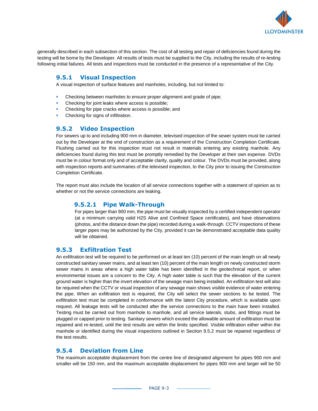

generally described in each subsection of this section. The cost of all testing and repair of deficiencies found during the testing will be borne by the Developer. All results of tests must be supplied to the City, including the results of re-testing following initial failures. All tests and inspections must be conducted in the presence of a representative of the City.

### **9.5.1 Visual Inspection**

A visual inspection of surface features and manholes, including, but not limited to:

- **Checking between manholes to ensure proper alignment and grade of pipe;**
- Checking for joint leaks where access is possible;
- Checking for pipe cracks where access is possible; and
- **Checking for signs of infiltration.**

#### **9.5.2 Video Inspection**

For sewers up to and including 900 mm in diameter, televised inspection of the sewer system must be carried out by the Developer at the end of construction as a requirement of the Construction Completion Certificate. Flushing carried out for this inspection must not result in materials entering any existing manhole. Any deficiencies found during this test must be promptly remedied by the Developer at their own expense. DVDs must be in colour format only and of acceptable clarity, quality and colour. The DVDs must be provided, along with inspection reports and summaries of the televised inspection, to the City prior to issuing the Construction Completion Certificate.

The report must also include the location of all service connections together with a statement of opinion as to whether or not the service connections are leaking.

#### **9.5.2.1 Pipe Walk-Through**

For pipes larger than 900 mm, the pipe must be visually inspected by a certified independent operator (at a minimum carrying valid H2S Alive and Confined Space certificates), and have observations (photos, and the distance down the pipe) recorded during a walk-through. CCTV inspections of these larger pipes may be authorized by the City, provided it can be demonstrated acceptable data quality will be obtained.

#### **9.5.3 Exfiltration Test**

An exfiltration test will be required to be performed on at least ten (10) percent of the main length on all newly constructed sanitary sewer mains, and at least ten (10) percent of the main length on newly constructed storm sewer mains in areas where a high water table has been identified in the geotechnical report, or when environmental issues are a concern to the City. A high water table is such that the elevation of the current ground water is higher than the invert elevation of the sewage main being installed. An exfiltration test will also be required when the CCTV or visual inspection of any sewage main shows visible evidence of water entering the pipe. When an exfiltration test is required, the City will select the sewer sections to be tested. The exfiltration test must be completed in conformance with the latest City procedure, which is available upon request. All leakage tests will be conducted after the service connections to the main have been installed. Testing must be carried out from manhole to manhole, and all service laterals, stubs, and fittings must be plugged or capped prior to testing. Sanitary sewers which exceed the allowable amount of exfiltration must be repaired and re-tested, until the test results are within the limits specified. Visible infiltration either within the manhole or identified during the visual inspections outlined in Section 9.5.2 must be repaired regardless of the test results.

#### **9.5.4 Deviation from Line**

The maximum acceptable displacement from the centre line of designated alignment for pipes 900 mm and smaller will be 150 mm, and the maximum acceptable displacement for pipes 900 mm and larger will be 50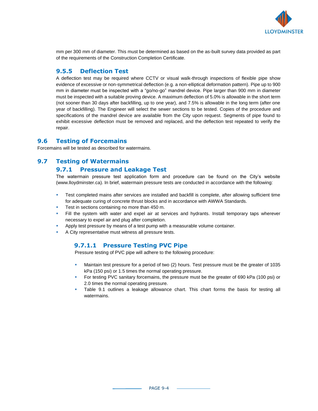

mm per 300 mm of diameter. This must be determined as based on the as-built survey data provided as part of the requirements of the Construction Completion Certificate.

#### **9.5.5 Deflection Test**

A deflection test may be required where CCTV or visual walk-through inspections of flexible pipe show evidence of excessive or non-symmetrical deflection (e.g. a non-elliptical deformation pattern). Pipe up to 900 mm in diameter must be inspected with a "go/no-go" mandrel device. Pipe larger than 900 mm in diameter must be inspected with a suitable proving device. A maximum deflection of 5.0% is allowable in the short term (not sooner than 30 days after backfilling, up to one year), and 7.5% is allowable in the long term (after one year of backfilling). The Engineer will select the sewer sections to be tested. Copies of the procedure and specifications of the mandrel device are available from the City upon request. Segments of pipe found to exhibit excessive deflection must be removed and replaced, and the deflection test repeated to verify the repair.

#### **9.6 Testing of Forcemains**

Forcemains will be tested as described for watermains.

#### **9.7 Testing of Watermains**

#### **9.7.1 Pressure and Leakage Test**

The watermain pressure test application form and procedure can be found on the City's website (www.lloydminster.ca). In brief, watermain pressure tests are conducted in accordance with the following:

- **EXECOMPLEE 1** Test completed mains after services are installed and backfill is complete, after allowing sufficient time for adequate curing of concrete thrust blocks and in accordance with AWWA Standards.
- Test in sections containing no more than 450 m.
- Fill the system with water and expel air at services and hydrants. Install temporary taps wherever necessary to expel air and plug after completion.
- Apply test pressure by means of a test pump with a measurable volume container.
- A City representative must witness all pressure tests.

#### **9.7.1.1 Pressure Testing PVC Pipe**

Pressure testing of PVC pipe will adhere to the following procedure:

- Maintain test pressure for a period of two (2) hours. Test pressure must be the greater of 1035 kPa (150 psi) or 1.5 times the normal operating pressure.
- For testing PVC sanitary forcemains, the pressure must be the greater of 690 kPa (100 psi) or 2.0 times the normal operating pressure.
- Table 9.1 outlines a leakage allowance chart. This chart forms the basis for testing all watermains.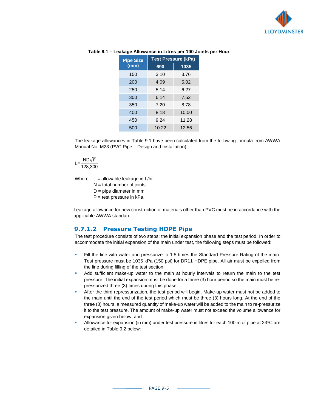

| <b>Test Pressure (kPa)</b> |       |  |
|----------------------------|-------|--|
| 690                        | 1035  |  |
| 3.10                       | 3.76  |  |
| 4.09                       | 5.02  |  |
| 5.14                       | 6.27  |  |
| 6.14                       | 7.52  |  |
| 7.20                       | 8.78  |  |
| 8.18                       | 10.00 |  |
| 9.24                       | 11.28 |  |
| 10.22                      | 12.56 |  |
|                            |       |  |

#### **Table 9.1 – Leakage Allowance in Litres per 100 Joints per Hour**

The leakage allowances in Table 9.1 have been calculated from the following formula from AWWA Manual No. M23 (PVC Pipe – Design and Installation):

#### L= $\frac{\text{ND}\sqrt{P}}{400,000}$ 128,300

Where:  $L =$  allowable leakage in  $L/hr$ 

 $N =$  total number of joints

D = pipe diameter in mm

 $P =$  test pressure in kPa.

Leakage allowance for new construction of materials other than PVC must be in accordance with the applicable AWWA standard.

#### **9.7.1.2 Pressure Testing HDPE Pipe**

The test procedure consists of two steps: the initial expansion phase and the test period. In order to accommodate the initial expansion of the main under test, the following steps must be followed:

- Fill the line with water and pressurize to 1.5 times the Standard Pressure Rating of the main. Test pressure must be 1035 kPa (150 psi) for DR11 HDPE pipe. All air must be expelled from the line during filling of the test section;
- Add sufficient make-up water to the main at hourly intervals to return the main to the test pressure. The initial expansion must be done for a three (3) hour period so the main must be repressurized three (3) times during this phase;
- After the third repressurization, the test period will begin. Make-up water must not be added to the main until the end of the test period which must be three (3) hours long. At the end of the three (3) hours, a measured quantity of make-up water will be added to the main to re-pressurize it to the test pressure. The amount of make-up water must not exceed the volume allowance for expansion given below; and
- Allowance for expansion (in mm) under test pressure in litres for each 100 m of pipe at  $23^{\circ}$ C are detailed in Table 9.2 below: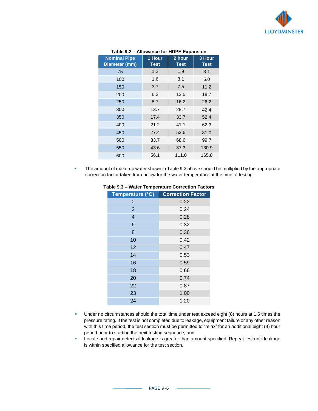

| <b>Nominal Pipe</b><br>Diameter (mm) | 1 Hour<br><b>Test</b> | 2 hour<br><b>Test</b> | 3 Hour<br><b>Test</b> |
|--------------------------------------|-----------------------|-----------------------|-----------------------|
| 75                                   | 1.2                   | 1.9                   | 3.1                   |
| 100                                  | 1.6                   | 3.1                   | 5.0                   |
| 150                                  | 3.7                   | 7.5                   | 11.2                  |
| 200                                  | 6.2                   | 12.5                  | 18.7                  |
| 250                                  | 8.7                   | 16.2                  | 26.2                  |
| 300                                  | 13.7                  | 28.7                  | 42.4                  |
| 350                                  | 17.4                  | 33.7                  | 52.4                  |
| 400                                  | 21.2                  | 41.1                  | 62.3                  |
| 450                                  | 27.4                  | 53.6                  | 81.0                  |
| 500                                  | 33.7                  | 68.6                  | 99.7                  |
| 550                                  | 43.6                  | 87.3                  | 130.9                 |
| 600                                  | 56.1                  | 111.0                 | 165.8                 |

#### **Table 9.2 – Allowance for HDPE Expansion**

**• The amount of make-up water shown in Table 9.2 above should be multiplied by the appropriate** correction factor taken from below for the water temperature at the time of testing:

| Temperature (°C) | <b>Correction Factor</b> |
|------------------|--------------------------|
| 0                | 0.22                     |
| $\overline{2}$   | 0.24                     |
| $\overline{4}$   | 0.28                     |
| 6                | 0.32                     |
| 8                | 0.36                     |
| 10               | 0.42                     |
| 12               | 0.47                     |
| 14               | 0.53                     |
| 16               | 0.59                     |
| 18               | 0.66                     |
| 20               | 0.74                     |
| 22               | 0.87                     |
| 23               | 1.00                     |
| 24               | 1.20                     |

#### **Table 9.3 – Water Temperature Correction Factors**

- **■** Under no circumstances should the total time under test exceed eight (8) hours at 1.5 times the pressure rating. If the test is not completed due to leakage, equipment failure or any other reason with this time period, the test section must be permitted to "relax" for an additional eight (8) hour period prior to starting the next testing sequence; and
- **EXECTS** Locate and repair defects if leakage is greater than amount specified. Repeat test until leakage is within specified allowance for the test section.